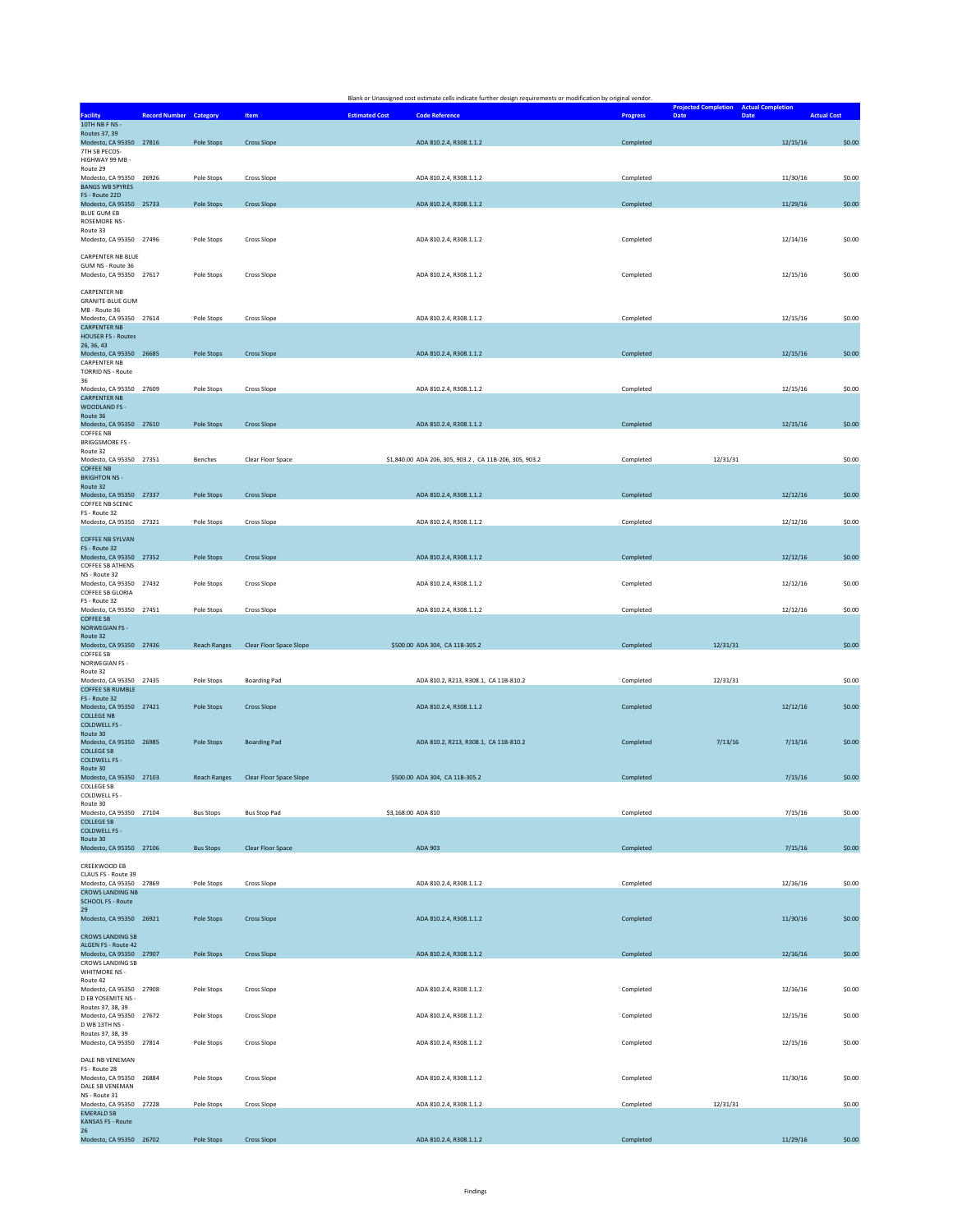|                                                                                  |                               |                     |                                      | Blank or Unassigned cost estimate cells indicate further design requirements or modification by original vendor. |                 |                                                                      |                    |
|----------------------------------------------------------------------------------|-------------------------------|---------------------|--------------------------------------|------------------------------------------------------------------------------------------------------------------|-----------------|----------------------------------------------------------------------|--------------------|
| <b>Facility</b>                                                                  | <b>Record Number Category</b> |                     | <b>Item</b>                          | <b>Estimated Cost</b><br><b>Code Reference</b>                                                                   | <b>Progress</b> | <b>Projected Completion Actual Completion</b><br>Date<br><b>Date</b> | <b>Actual Cost</b> |
| 10TH NB F NS -<br>Routes 37, 39                                                  |                               |                     | <b>Cross Slope</b>                   |                                                                                                                  |                 |                                                                      |                    |
| Modesto, CA 95350 27816<br>7TH SB PECOS-<br>HIGHWAY 99 MB -                      |                               | Pole Stops          |                                      | ADA 810.2.4, R308.1.1.2                                                                                          | Completed       | 12/15/16                                                             | \$0.00             |
| Route 29<br>Modesto, CA 95350 26926<br><b>BANGS WB SPYRES</b>                    |                               | Pole Stops          | Cross Slope                          | ADA 810.2.4, R308.1.1.2                                                                                          | Completed       | 11/30/16                                                             | \$0.00             |
| FS - Route 22D<br>Modesto, CA 95350 25733                                        |                               | Pole Stops          | <b>Cross Slope</b>                   | ADA 810.2.4, R308.1.1.2                                                                                          | Completed       | 11/29/16                                                             | \$0.00             |
| BLUE GUM EB<br>ROSEMORE NS -<br>Route 33                                         |                               |                     |                                      |                                                                                                                  |                 |                                                                      |                    |
| Modesto, CA 95350 27496<br><b>CARPENTER NB BLUE</b>                              |                               | Pole Stops          | Cross Slope                          | ADA 810.2.4, R308.1.1.2                                                                                          | Completed       | 12/14/16                                                             | \$0.00             |
| GUM NS - Route 36<br>Modesto, CA 95350 27617                                     |                               | Pole Stops          | Cross Slope                          | ADA 810.2.4, R308.1.1.2                                                                                          | Completed       | 12/15/16                                                             | \$0.00             |
| <b>CARPENTER NB</b><br><b>GRANITE-BLUE GUM</b><br>MB - Route 36                  |                               |                     |                                      |                                                                                                                  |                 |                                                                      |                    |
| Modesto, CA 95350 27614<br><b>CARPENTER NB</b>                                   |                               | Pole Stops          | Cross Slope                          | ADA 810.2.4, R308.1.1.2                                                                                          | Completed       | 12/15/16                                                             | \$0.00             |
| <b>HOUSER FS - Routes</b><br>26, 36, 43<br>Modesto, CA 95350 26685               |                               | Pole Stops          | <b>Cross Slope</b>                   | ADA 810.2.4, R308.1.1.2                                                                                          | Completed       | 12/15/16                                                             | \$0.00             |
| <b>CARPENTER NB</b><br><b>TORRID NS - Route</b><br>36                            |                               |                     |                                      |                                                                                                                  |                 |                                                                      |                    |
| Modesto, CA 95350 27609<br><b>CARPENTER NB</b>                                   |                               | Pole Stops          | Cross Slope                          | ADA 810.2.4, R308.1.1.2                                                                                          | Completed       | 12/15/16                                                             | \$0.00             |
| WOODLAND FS -<br>Route 36                                                        |                               | Pole Stops          |                                      |                                                                                                                  |                 |                                                                      |                    |
| Modesto, CA 95350 27610<br>COFFEE NB<br><b>BRIGGSMORE FS -</b>                   |                               |                     | <b>Cross Slope</b>                   | ADA 810.2.4, R308.1.1.2                                                                                          | Completed       | 12/15/16                                                             | \$0.00             |
| Route 32<br>Modesto, CA 95350 27351<br><b>COFFEE NB</b>                          |                               | Benches             | Clear Floor Space                    | \$1,840.00 ADA 206, 305, 903.2, CA 11B-206, 305, 903.2                                                           | Completed       | 12/31/31                                                             | \$0.00             |
| <b>BRIGHTON NS -</b><br>Route 32                                                 |                               |                     |                                      |                                                                                                                  |                 |                                                                      |                    |
| Modesto, CA 95350 27337<br>COFFEE NB SCENIC<br>FS - Route 32                     |                               | Pole Stops          | <b>Cross Slope</b>                   | ADA 810.2.4, R308.1.1.2                                                                                          | Completed       | 12/12/16                                                             | \$0.00             |
| Modesto, CA 95350 27321                                                          |                               | Pole Stops          | Cross Slope                          | ADA 810.2.4, R308.1.1.2                                                                                          | Completed       | 12/12/16                                                             | \$0.00             |
| <b>COFFEE NB SYLVAN</b><br>FS - Route 32<br>Modesto, CA 95350 27352              |                               | Pole Stops          | <b>Cross Slope</b>                   | ADA 810.2.4, R308.1.1.2                                                                                          | Completed       | 12/12/16                                                             | \$0.00             |
| COFFEE SB ATHENS<br>NS - Route 32<br>Modesto, CA 95350 27432                     |                               | Pole Stops          | Cross Slope                          | ADA 810.2.4, R308.1.1.2                                                                                          | Completed       | 12/12/16                                                             | \$0.00             |
| COFFEE SB GLORIA<br>FS - Route 32                                                |                               |                     |                                      |                                                                                                                  |                 |                                                                      |                    |
| Modesto, CA 95350 27451<br><b>COFFEE SB</b><br>NORWEGIAN FS -                    |                               | Pole Stops          | <b>Cross Slope</b>                   | ADA 810.2.4, R308.1.1.2                                                                                          | Completed       | 12/12/16                                                             | \$0.00             |
| Route 32<br>Modesto, CA 95350 27436<br><b>COFFEE SB</b>                          |                               | <b>Reach Ranges</b> | Clear Floor Space Slope              | \$500.00 ADA 304, CA 11B-305.2                                                                                   | Completed       | 12/31/31                                                             | \$0.00             |
| NORWEGIAN FS -<br>Route 32                                                       |                               |                     |                                      |                                                                                                                  |                 |                                                                      |                    |
| Modesto, CA 95350 27435<br><b>COFFEE SB RUMBLE</b><br>FS - Route 32              |                               | Pole Stops          | <b>Boarding Pad</b>                  | ADA 810.2, R213, R308.1, CA 11B-810.2                                                                            | Completed       | 12/31/31                                                             | \$0.00             |
| Modesto, CA 95350 27421<br><b>COLLEGE NB</b><br><b>COLDWELL FS -</b>             |                               | Pole Stops          | <b>Cross Slope</b>                   | ADA 810.2.4, R308.1.1.2                                                                                          | Completed       | 12/12/16                                                             | \$0.00             |
| Route 30<br>Modesto, CA 95350 26985<br><b>COLLEGE SB</b><br><b>COLDWELL FS -</b> |                               | Pole Stops          | <b>Boarding Pad</b>                  | ADA 810.2, R213, R308.1, CA 11B-810.2                                                                            | Completed       | 7/13/16<br>7/13/16                                                   | \$0.00             |
| Route 30<br>Modesto, CA 95350 27103<br><b>COLLEGE SB</b>                         |                               |                     | Reach Ranges Clear Floor Space Slope | \$500.00 ADA 304, CA 11B-305.2                                                                                   | Completed       | 7/15/16                                                              | \$0.00             |
| COLDWELL FS -<br>Route 30<br>Modesto, CA 95350 27104                             |                               | <b>Bus Stops</b>    | <b>Bus Stop Pad</b>                  | \$3,168.00 ADA 810                                                                                               | Completed       | 7/15/16                                                              | \$0.00             |
| <b>COLLEGE SB</b><br><b>COLDWELL FS -</b><br>Route 30                            |                               |                     |                                      |                                                                                                                  |                 |                                                                      |                    |
| Modesto, CA 95350 27106                                                          |                               | <b>Bus Stops</b>    | Clear Floor Space                    | ADA 903                                                                                                          | Completed       | 7/15/16                                                              | \$0.00             |
| CREEKWOOD EB<br>CLAUS FS - Route 39<br>Modesto, CA 95350 27869                   |                               | Pole Stops          | Cross Slope                          | ADA 810.2.4, R308.1.1.2                                                                                          | Completed       | 12/16/16                                                             | \$0.00             |
| <b>CROWS LANDING NB</b><br><b>SCHOOL FS - Route</b>                              |                               |                     |                                      |                                                                                                                  |                 |                                                                      |                    |
| 29<br>Modesto, CA 95350 26921                                                    |                               | Pole Stops          | <b>Cross Slope</b>                   | ADA 810.2.4, R308.1.1.2                                                                                          | Completed       | 11/30/16                                                             | \$0.00             |
| <b>CROWS LANDING SB</b><br>ALGEN FS - Route 42<br>Modesto, CA 95350 27907        |                               | Pole Stops          | <b>Cross Slope</b>                   | ADA 810.2.4, R308.1.1.2                                                                                          | Completed       | 12/16/16                                                             | \$0.00             |
| <b>CROWS LANDING SB</b><br>WHITMORE NS -<br>Route 42                             |                               |                     |                                      |                                                                                                                  |                 |                                                                      |                    |
| Modesto, CA 95350 27908<br>D EB YOSEMITE NS -<br>Routes 37, 38, 39               |                               | Pole Stops          | Cross Slope                          | ADA 810.2.4, R308.1.1.2                                                                                          | Completed       | 12/16/16                                                             | \$0.00             |
| Modesto, CA 95350 27672<br>D WB 13TH NS -                                        |                               | Pole Stops          | Cross Slope                          | ADA 810.2.4, R308.1.1.2                                                                                          | Completed       | 12/15/16                                                             | \$0.00             |
| Routes 37, 38, 39<br>Modesto, CA 95350 27814                                     |                               | Pole Stops          | Cross Slope                          | ADA 810.2.4, R308.1.1.2                                                                                          | Completed       | 12/15/16                                                             | \$0.00             |
| DALE NB VENEMAN<br>FS - Route 28<br>Modesto, CA 95350 26884                      |                               | Pole Stops          | Cross Slope                          | ADA 810.2.4, R308.1.1.2                                                                                          | Completed       | 11/30/16                                                             | \$0.00             |
| DALE SB VENEMAN<br>NS - Route 31                                                 |                               |                     |                                      |                                                                                                                  |                 |                                                                      |                    |
| Modesto, CA 95350 27228<br><b>EMERALD SB</b><br><b>KANSAS FS - Route</b>         |                               | Pole Stops          | Cross Slope                          | ADA 810.2.4, R308.1.1.2                                                                                          | Completed       | 12/31/31                                                             | \$0.00             |
| 26<br>Modesto, CA 95350 26702                                                    |                               | Pole Stops          | <b>Cross Slope</b>                   | ADA 810.2.4, R308.1.1.2                                                                                          | Completed       | 11/29/16                                                             | \$0.00             |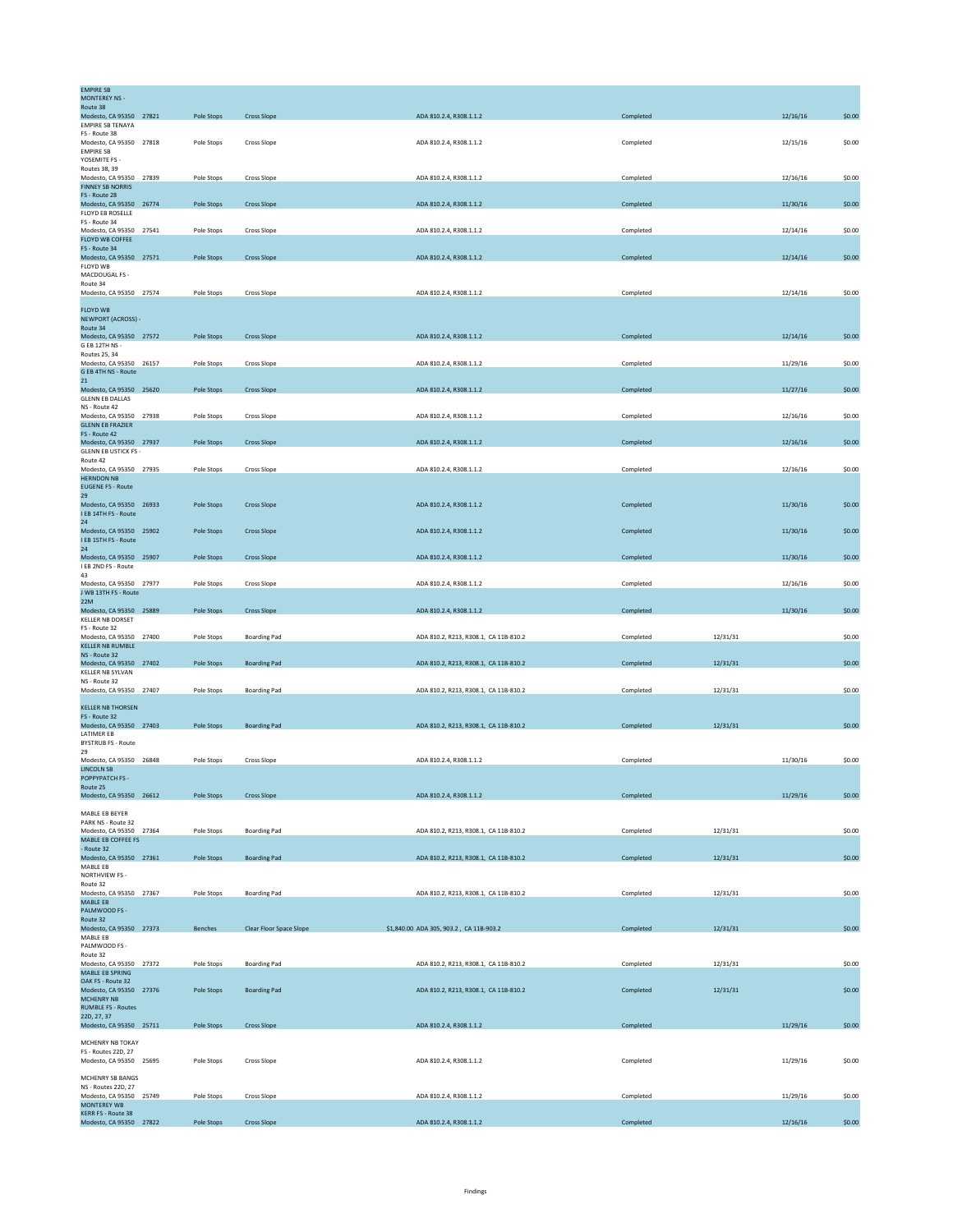| <b>EMPIRE SB</b>                                       |                         |                   |                         |                                         |           |          |        |
|--------------------------------------------------------|-------------------------|-------------------|-------------------------|-----------------------------------------|-----------|----------|--------|
| <b>MONTEREY NS -</b><br>Route 38                       |                         |                   |                         |                                         |           |          |        |
| Modesto, CA 95350 27821                                |                         | Pole Stops        | <b>Cross Slope</b>      | ADA 810.2.4, R308.1.1.2                 | Completed | 12/16/16 | \$0.00 |
| <b>FMPIRE SB TENAYA</b><br>FS - Route 38               |                         |                   |                         |                                         |           |          |        |
| Modesto, CA 95350 27818                                |                         | Pole Stops        | Cross Slope             | ADA 810.2.4, R308.1.1.2                 | Completed | 12/15/16 | \$0.00 |
| <b>EMPIRE SB</b>                                       |                         |                   |                         |                                         |           |          |        |
| YOSEMITE FS -<br>Routes 38, 39                         |                         |                   |                         |                                         |           |          |        |
| Modesto, CA 95350 27839                                |                         | Pole Stops        | Cross Slope             | ADA 810.2.4, R308.1.1.2                 | Completed | 12/16/16 | \$0.00 |
| <b>FINNEY SB NORRIS</b><br>FS - Route 28               |                         |                   |                         |                                         |           |          |        |
| Modesto, CA 95350 26774                                |                         | Pole Stops        | <b>Cross Slope</b>      | ADA 810.2.4, R308.1.1.2                 | Completed | 11/30/16 | \$0.00 |
| FLOYD EB ROSELLE                                       |                         |                   |                         |                                         |           |          |        |
| FS - Route 34<br>Modesto, CA 95350 27541               |                         | Pole Stops        | Cross Slope             | ADA 810.2.4, R308.1.1.2                 | Completed | 12/14/16 | \$0.00 |
| FLOYD WB COFFEE                                        |                         |                   |                         |                                         |           |          |        |
| FS - Route 34                                          |                         |                   |                         |                                         |           |          |        |
| Modesto, CA 95350 27571<br>FLOYD WB                    |                         | Pole Stops        | <b>Cross Slope</b>      | ADA 810.2.4, R308.1.1.2                 | Completed | 12/14/16 | \$0.00 |
| MACDOUGAL FS -                                         |                         |                   |                         |                                         |           |          |        |
| Route 34                                               |                         |                   |                         |                                         |           |          |        |
| Modesto, CA 95350 27574                                |                         | Pole Stops        | Cross Slope             | ADA 810.2.4, R308.1.1.2                 | Completed | 12/14/16 | \$0.00 |
| <b>FLOYD WB</b>                                        |                         |                   |                         |                                         |           |          |        |
| NEWPORT (ACROSS) -                                     |                         |                   |                         |                                         |           |          |        |
| Route 34                                               |                         |                   |                         | ADA 810.2.4, R308.1.1.2                 |           |          |        |
| Modesto, CA 95350 27572<br>G EB 12TH NS -              |                         | Pole Stops        | <b>Cross Slope</b>      |                                         | Completed | 12/14/16 | \$0.00 |
| Routes 25, 34                                          |                         |                   |                         |                                         |           |          |        |
| Modesto, CA 95350 26157                                |                         | Pole Stops        | <b>Cross Slope</b>      | ADA 810.2.4, R308.1.1.2                 | Completed | 11/29/16 | \$0.00 |
| G EB 4TH NS - Route<br>21                              |                         |                   |                         |                                         |           |          |        |
| Modesto, CA 95350 25620                                |                         | Pole Stops        | <b>Cross Slope</b>      | ADA 810.2.4, R308.1.1.2                 | Completed | 11/27/16 | \$0.00 |
| <b>GLENN EB DALLAS</b>                                 |                         |                   |                         |                                         |           |          |        |
| NS - Route 42<br>Modesto, CA 95350 27938               |                         | Pole Stops        | Cross Slope             | ADA 810.2.4, R308.1.1.2                 | Completed | 12/16/16 | \$0.00 |
| <b>GLENN EB FRAZIER</b>                                |                         |                   |                         |                                         |           |          |        |
| FS - Route 42                                          |                         |                   |                         |                                         |           |          |        |
| Modesto, CA 95350 27937<br><b>GLENN EB USTICK FS -</b> |                         | Pole Stops        | <b>Cross Slope</b>      | ADA 810.2.4, R308.1.1.2                 | Completed | 12/16/16 | \$0.00 |
| Route 42                                               |                         |                   |                         |                                         |           |          |        |
| Modesto, CA 95350 27935                                |                         | Pole Stops        | Cross Slope             | ADA 810.2.4, R308.1.1.2                 | Completed | 12/16/16 | \$0.00 |
| <b>HERNDON NB</b><br><b>EUGENE FS - Route</b>          |                         |                   |                         |                                         |           |          |        |
| 29                                                     |                         |                   |                         |                                         |           |          |        |
| Modesto, CA 95350 26933                                |                         | Pole Stops        | <b>Cross Slope</b>      | ADA 810.2.4, R308.1.1.2                 | Completed | 11/30/16 | \$0.00 |
| I EB 14TH FS - Route<br>24                             |                         |                   |                         |                                         |           |          |        |
| Modesto, CA 95350 25902                                |                         | Pole Stops        | <b>Cross Slope</b>      | ADA 810.2.4, R308.1.1.2                 | Completed | 11/30/16 | \$0.00 |
| I EB 15TH FS - Route                                   |                         |                   |                         |                                         |           |          |        |
| 24                                                     |                         |                   |                         |                                         |           |          |        |
| Modesto, CA 95350 25907<br>I EB 2ND FS - Route         |                         | Pole Stops        | <b>Cross Slope</b>      | ADA 810.2.4, R308.1.1.2                 | Completed | 11/30/16 | \$0.00 |
| 43                                                     |                         |                   |                         |                                         |           |          |        |
| Modesto, CA 95350 27977                                |                         | Pole Stops        | Cross Slope             | ADA 810.2.4, R308.1.1.2                 | Completed | 12/16/16 | \$0.00 |
| J WB 13TH FS - Route<br>22M                            |                         |                   |                         |                                         |           |          |        |
| Modesto, CA 95350 25889                                |                         | Pole Stops        | <b>Cross Slope</b>      | ADA 810.2.4, R308.1.1.2                 | Completed | 11/30/16 | \$0.00 |
| <b>KELLER NB DORSET</b>                                |                         |                   |                         |                                         |           |          |        |
| FS - Route 32<br>Modesto, CA 95350 27400               |                         | Pole Stops        | <b>Boarding Pad</b>     | ADA 810.2, R213, R308.1, CA 11B-810.2   | Completed | 12/31/31 | \$0.00 |
| KELLER NB RUMBLE                                       |                         |                   |                         |                                         |           |          |        |
| NS - Route 32                                          |                         |                   |                         |                                         |           |          |        |
| Modesto, CA 95350 27402<br>KELLER NB SYLVAN            |                         | <b>Pole Stops</b> | <b>Boarding Pad</b>     | ADA 810.2, R213, R308.1, CA 11B-810.2   | Completed | 12/31/31 | \$0.00 |
| NS - Route 32                                          |                         |                   |                         |                                         |           |          |        |
| Modesto, CA 95350 27407                                |                         | Pole Stops        | <b>Boarding Pad</b>     | ADA 810.2, R213, R308.1, CA 11B-810.2   | Completed | 12/31/31 | \$0.00 |
| <b>KELLER NB THORSEN</b>                               |                         |                   |                         |                                         |           |          |        |
| FS - Route 32                                          |                         |                   |                         |                                         |           |          |        |
| Modesto, CA 95350 27403                                |                         | Pole Stops        | <b>Boarding Pad</b>     | ADA 810.2, R213, R308.1, CA 11B-810.2   | Completed | 12/31/31 | \$0.00 |
| <b>LATIMER EB</b><br><b>BYSTRUB FS - Route</b>         |                         |                   |                         |                                         |           |          |        |
| 29                                                     |                         |                   |                         |                                         |           |          |        |
| Modesto, CA 95350 26848                                |                         | Pole Stops        | Cross Slope             | ADA 810.2.4, R308.1.1.2                 | Completed | 11/30/16 | \$0.00 |
| <b>LINCOLN SB</b><br>POPPYPATCH FS -                   |                         |                   |                         |                                         |           |          |        |
| Route 25                                               |                         |                   |                         |                                         |           |          |        |
| Modesto, CA 95350 26612                                |                         | Pole Stops        | <b>Cross Slope</b>      | ADA 810.2.4, R308.1.1.2                 | Completed | 11/29/16 | \$0.00 |
|                                                        |                         |                   |                         |                                         |           |          |        |
| MABLE EB BEYER<br>PARK NS - Route 32                   |                         |                   |                         |                                         |           |          |        |
| Modesto, CA 95350 27364                                |                         | Pole Stops        | <b>Boarding Pad</b>     | ADA 810.2, R213, R308.1, CA 11B-810.2   | Completed | 12/31/31 | \$0.00 |
| MABLE EB COFFEE FS<br>- Route 32                       |                         |                   |                         |                                         |           |          |        |
| Modesto, CA 95350 27361                                |                         | Pole Stops        | <b>Boarding Pad</b>     | ADA 810.2, R213, R308.1, CA 11B-810.2   | Completed | 12/31/31 | \$0.00 |
| MABLE EB                                               |                         |                   |                         |                                         |           |          |        |
| NORTHVIEW FS -                                         |                         |                   |                         |                                         |           |          |        |
| Route 32<br>Modesto, CA 95350 27367                    |                         | Pole Stops        | <b>Boarding Pad</b>     | ADA 810.2, R213, R308.1, CA 11B-810.2   | Completed | 12/31/31 | \$0.00 |
| MABLE EB                                               |                         |                   |                         |                                         |           |          |        |
| PALMWOOD FS -                                          |                         |                   |                         |                                         |           |          |        |
| Route 32<br>Modesto, CA 95350 27373                    |                         | <b>Benches</b>    | Clear Floor Space Slope | \$1,840.00 ADA 305, 903.2, CA 11B-903.2 | Completed | 12/31/31 | \$0.00 |
| MABLE EB                                               |                         |                   |                         |                                         |           |          |        |
| PALMWOOD FS -                                          |                         |                   |                         |                                         |           |          |        |
| Route 32<br>Modesto, CA 95350 27372                    |                         | Pole Stops        | <b>Boarding Pad</b>     | ADA 810.2, R213, R308.1, CA 11B-810.2   | Completed | 12/31/31 | \$0.00 |
| MABLE EB SPRING                                        |                         |                   |                         |                                         |           |          |        |
| OAK FS - Route 32                                      |                         |                   |                         |                                         |           |          |        |
| Modesto, CA 95350 27376                                |                         | Pole Stops        | <b>Boarding Pad</b>     | ADA 810.2, R213, R308.1, CA 11B-810.2   | Completed | 12/31/31 | \$0.00 |
| MCHENRY NB<br><b>RUMBLE FS - Routes</b>                |                         |                   |                         |                                         |           |          |        |
| 22D, 27, 37                                            |                         |                   |                         |                                         |           |          |        |
| Modesto, CA 95350 25711                                |                         | Pole Stops        | <b>Cross Slope</b>      | ADA 810.2.4, R308.1.1.2                 | Completed | 11/29/16 | \$0.00 |
| MCHENRY NB TOKAY                                       |                         |                   |                         |                                         |           |          |        |
| FS - Routes 22D, 27                                    |                         |                   |                         |                                         |           |          |        |
| Modesto, CA 95350 25695                                |                         | Pole Stops        | Cross Slope             | ADA 810.2.4, R308.1.1.2                 | Completed | 11/29/16 | \$0.00 |
| MCHENRY SB BANGS                                       |                         |                   |                         |                                         |           |          |        |
| NS - Routes 22D, 27                                    |                         |                   |                         |                                         |           |          |        |
| Modesto, CA 95350 25749                                |                         | Pole Stops        | Cross Slope             | ADA 810.2.4, R308.1.1.2                 | Completed | 11/29/16 | \$0.00 |
| <b>MONTEREY WB</b><br>KERR FS - Route 38               |                         |                   |                         |                                         |           |          |        |
|                                                        | Modesto, CA 95350 27822 | Pole Stops        | <b>Cross Slope</b>      | ADA 810.2.4, R308.1.1.2                 | Completed | 12/16/16 | \$0.00 |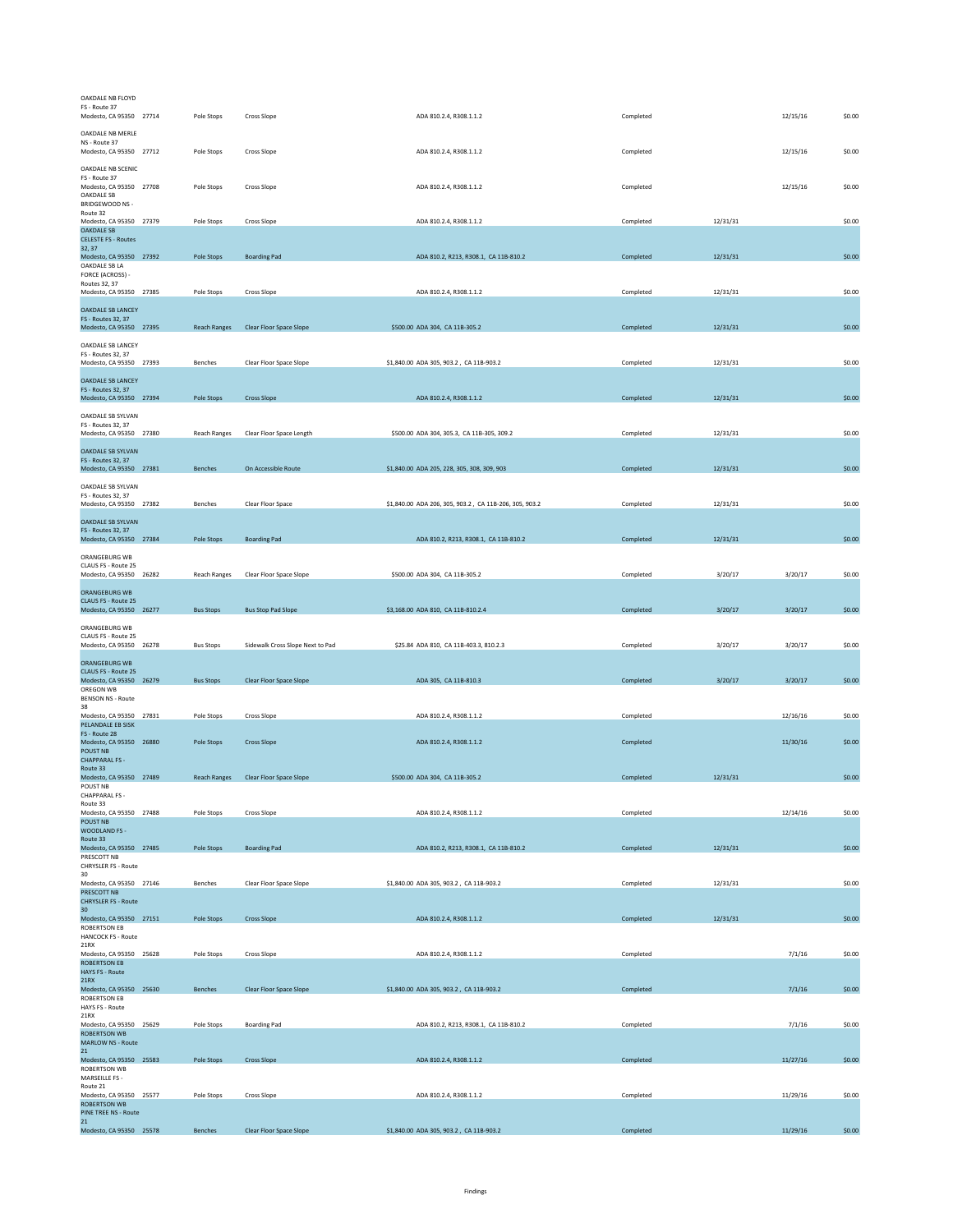| OAKDALE NB FLOYD<br>FS - Route 37<br>Modesto, CA 95350 27714                     | Pole Stops          | Cross Slope                      | ADA 810.2.4, R308.1.1.2                                | Completed |          | 12/15/16 | \$0.00 |
|----------------------------------------------------------------------------------|---------------------|----------------------------------|--------------------------------------------------------|-----------|----------|----------|--------|
| OAKDALE NB MERLE<br>NS - Route 37<br>Modesto, CA 95350 27712                     | Pole Stops          | Cross Slope                      | ADA 810.2.4, R308.1.1.2                                | Completed |          | 12/15/16 | \$0.00 |
| OAKDALE NB SCENIC                                                                |                     |                                  |                                                        |           |          |          |        |
| FS - Route 37<br>Modesto, CA 95350 27708<br>OAKDALE SB<br>BRIDGEWOOD NS -        | Pole Stops          | Cross Slope                      | ADA 810.2.4, R308.1.1.2                                | Completed |          | 12/15/16 | \$0.00 |
| Route 32<br>Modesto, CA 95350 27379                                              | Pole Stops          | Cross Slope                      | ADA 810.2.4, R308.1.1.2                                | Completed | 12/31/31 |          | \$0.00 |
| <b>OAKDALE SB</b><br><b>CELESTE FS - Routes</b>                                  |                     |                                  |                                                        |           |          |          |        |
| 32, 37<br>Modesto, CA 95350 27392                                                | Pole Stops          | <b>Boarding Pad</b>              | ADA 810.2, R213, R308.1, CA 11B-810.2                  | Completed | 12/31/31 |          | \$0.00 |
| OAKDALE SB LA<br>FORCE (ACROSS) -                                                |                     |                                  |                                                        |           |          |          |        |
| Routes 32, 37<br>Modesto, CA 95350 27385                                         | Pole Stops          | Cross Slope                      | ADA 810.2.4, R308.1.1.2                                | Completed | 12/31/31 |          | \$0.00 |
| <b>OAKDALE SB LANCEY</b>                                                         |                     |                                  |                                                        |           |          |          |        |
| FS - Routes 32, 37<br>Modesto, CA 95350 27395                                    | <b>Reach Ranges</b> | Clear Floor Space Slope          | \$500.00 ADA 304, CA 11B-305.2                         | Completed | 12/31/31 |          | \$0.00 |
| OAKDALE SB LANCEY<br>FS - Routes 32, 37                                          |                     |                                  |                                                        |           |          |          |        |
| Modesto, CA 95350 27393                                                          | Benches             | Clear Floor Space Slope          | \$1,840.00 ADA 305, 903.2, CA 11B-903.2                | Completed | 12/31/31 |          | \$0.00 |
| <b>OAKDALE SB LANCEY</b><br><b>FS - Routes 32, 37</b><br>Modesto, CA 95350 27394 | Pole Stops          | <b>Cross Slope</b>               | ADA 810.2.4, R308.1.1.2                                | Completed | 12/31/31 |          | \$0.00 |
| OAKDALE SB SYLVAN<br>FS - Routes 32, 37                                          |                     |                                  |                                                        |           |          |          |        |
| Modesto, CA 95350 27380                                                          | <b>Reach Ranges</b> | Clear Floor Space Length         | \$500.00 ADA 304, 305.3, CA 11B-305, 309.2             | Completed | 12/31/31 |          | \$0.00 |
| <b>OAKDALE SB SYLVAN</b>                                                         |                     |                                  |                                                        |           |          |          |        |
| FS - Routes 32, 37<br>Modesto, CA 95350 27381                                    | Benches             | On Accessible Route              | \$1,840.00 ADA 205, 228, 305, 308, 309, 903            | Completed | 12/31/31 |          | \$0.00 |
| OAKDALE SB SYLVAN                                                                |                     |                                  |                                                        |           |          |          |        |
| FS - Routes 32, 37<br>Modesto, CA 95350 27382                                    | <b>Benches</b>      | Clear Floor Space                | \$1,840.00 ADA 206, 305, 903.2, CA 11B-206, 305, 903.2 | Completed | 12/31/31 |          | \$0.00 |
| <b>OAKDALE SB SYLVAN</b>                                                         |                     |                                  |                                                        |           |          |          |        |
| <b>FS - Routes 32, 37</b><br>Modesto, CA 95350 27384                             | Pole Stops          | <b>Boarding Pad</b>              | ADA 810.2, R213, R308.1, CA 11B-810.2                  | Completed | 12/31/31 |          | \$0.00 |
| ORANGEBURG WB                                                                    |                     |                                  |                                                        |           |          |          |        |
| CLAUS FS - Route 25<br>Modesto, CA 95350 26282                                   | <b>Reach Ranges</b> | Clear Floor Space Slope          | \$500.00 ADA 304, CA 11B-305.2                         | Completed | 3/20/17  | 3/20/17  | \$0.00 |
| <b>ORANGEBURG WB</b>                                                             |                     |                                  |                                                        |           |          |          |        |
| CLAUS FS - Route 25                                                              |                     |                                  |                                                        |           |          |          |        |
| Modesto, CA 95350 26277                                                          | <b>Bus Stops</b>    | <b>Bus Stop Pad Slope</b>        | \$3,168.00 ADA 810, CA 11B-810.2.4                     | Completed | 3/20/17  | 3/20/17  | \$0.00 |
| ORANGEBURG WB<br>CLAUS FS - Route 25                                             |                     |                                  |                                                        |           |          |          |        |
| Modesto, CA 95350 26278                                                          | <b>Bus Stops</b>    | Sidewalk Cross Slope Next to Pad | \$25.84 ADA 810, CA 11B-403.3, 810.2.3                 | Completed | 3/20/17  | 3/20/17  | \$0.00 |
| <b>ORANGEBURG WB</b><br>CLAUS FS - Route 25                                      |                     |                                  |                                                        |           |          |          |        |
| Modesto, CA 95350 26279<br>OREGON WB                                             | <b>Bus Stops</b>    | Clear Floor Space Slope          | ADA 305, CA 11B-810.3                                  | Completed | 3/20/17  | 3/20/17  | \$0.00 |
| <b>BENSON NS - Route</b><br>38                                                   |                     |                                  |                                                        |           |          |          |        |
| Modesto, CA 95350 27831<br>PELANDALE EB SISK                                     | Pole Stops          | Cross Slope                      | ADA 810.2.4, R308.1.1.2                                | Completed |          | 12/16/16 | \$0.00 |
| FS - Route 28<br>Modesto, CA 95350 26880                                         | Pole Stops          | <b>Cross Slope</b>               | ADA 810.2.4, R308.1.1.2                                | Completed |          | 11/30/16 | \$0.00 |
| <b>POUST NB</b><br><b>CHAPPARAL FS -</b>                                         |                     |                                  |                                                        |           |          |          |        |
| Route 33<br>Modesto, CA 95350 27489                                              | <b>Reach Ranges</b> | Clear Floor Space Slope          | \$500.00 ADA 304, CA 11B-305.2                         | Completed | 12/31/31 |          | \$0.00 |
| POUST NB                                                                         |                     |                                  |                                                        |           |          |          |        |
| CHAPPARAL FS -<br>Route 33                                                       |                     |                                  |                                                        |           |          |          |        |
| Modesto, CA 95350 27488<br><b>POUST NB</b>                                       | Pole Stops          | Cross Slope                      | ADA 810.2.4, R308.1.1.2                                | Completed |          | 12/14/16 | \$0.00 |
| <b>WOODLAND FS -</b><br>Route 33                                                 |                     |                                  |                                                        |           |          |          |        |
| Modesto, CA 95350 27485<br>PRESCOTT NB                                           | Pole Stops          | <b>Boarding Pad</b>              | ADA 810.2, R213, R308.1, CA 11B-810.2                  | Completed | 12/31/31 |          | \$0.00 |
| CHRYSLER FS - Route<br>30                                                        |                     |                                  |                                                        |           |          |          |        |
| Modesto, CA 95350 27146<br>PRESCOTT NB                                           | Benches             | Clear Floor Space Slope          | \$1,840.00 ADA 305, 903.2, CA 11B-903.2                | Completed | 12/31/31 |          | \$0.00 |
| <b>CHRYSLER FS - Route</b><br>30 <sup>2</sup>                                    |                     |                                  |                                                        |           |          |          |        |
| Modesto, CA 95350 27151<br><b>ROBERTSON EB</b>                                   | Pole Stops          | <b>Cross Slope</b>               | ADA 810.2.4, R308.1.1.2                                | Completed | 12/31/31 |          | \$0.00 |
| <b>HANCOCK FS - Route</b><br>21RX                                                |                     |                                  |                                                        |           |          |          |        |
| Modesto, CA 95350 25628<br><b>ROBERTSON EB</b>                                   | Pole Stops          | Cross Slope                      | ADA 810.2.4, R308.1.1.2                                | Completed |          | 7/1/16   | \$0.00 |
| <b>HAYS FS - Route</b><br>21RX                                                   |                     |                                  |                                                        |           |          |          |        |
| Modesto, CA 95350 25630<br><b>ROBERTSON EB</b>                                   | <b>Benches</b>      | Clear Floor Space Slope          | \$1,840.00 ADA 305, 903.2, CA 11B-903.2                | Completed |          | 7/1/16   | \$0.00 |
| HAYS FS - Route                                                                  |                     |                                  |                                                        |           |          |          |        |
| 21RX<br>Modesto, CA 95350 25629                                                  | Pole Stops          | <b>Boarding Pad</b>              | ADA 810.2, R213, R308.1, CA 11B-810.2                  | Completed |          | 7/1/16   | \$0.00 |
| <b>ROBERTSON WB</b><br>MARLOW NS - Route                                         |                     |                                  |                                                        |           |          |          |        |
| 21<br>Modesto, CA 95350 25583                                                    | Pole Stops          | <b>Cross Slope</b>               | ADA 810.2.4, R308.1.1.2                                | Completed |          | 11/27/16 | \$0.00 |
| ROBERTSON WB<br>MARSEILLE FS -                                                   |                     |                                  |                                                        |           |          |          |        |
| Route 21<br>Modesto, CA 95350 25577                                              | Pole Stops          | Cross Slope                      | ADA 810.2.4, R308.1.1.2                                | Completed |          | 11/29/16 | \$0.00 |
| <b>ROBERTSON WB</b><br>PINE TREE NS - Route                                      |                     |                                  |                                                        |           |          |          |        |
| 21<br>Modesto, CA 95350 25578                                                    | Benches             | Clear Floor Space Slope          | \$1,840.00 ADA 305, 903.2, CA 11B-903.2                | Completed |          | 11/29/16 | \$0.00 |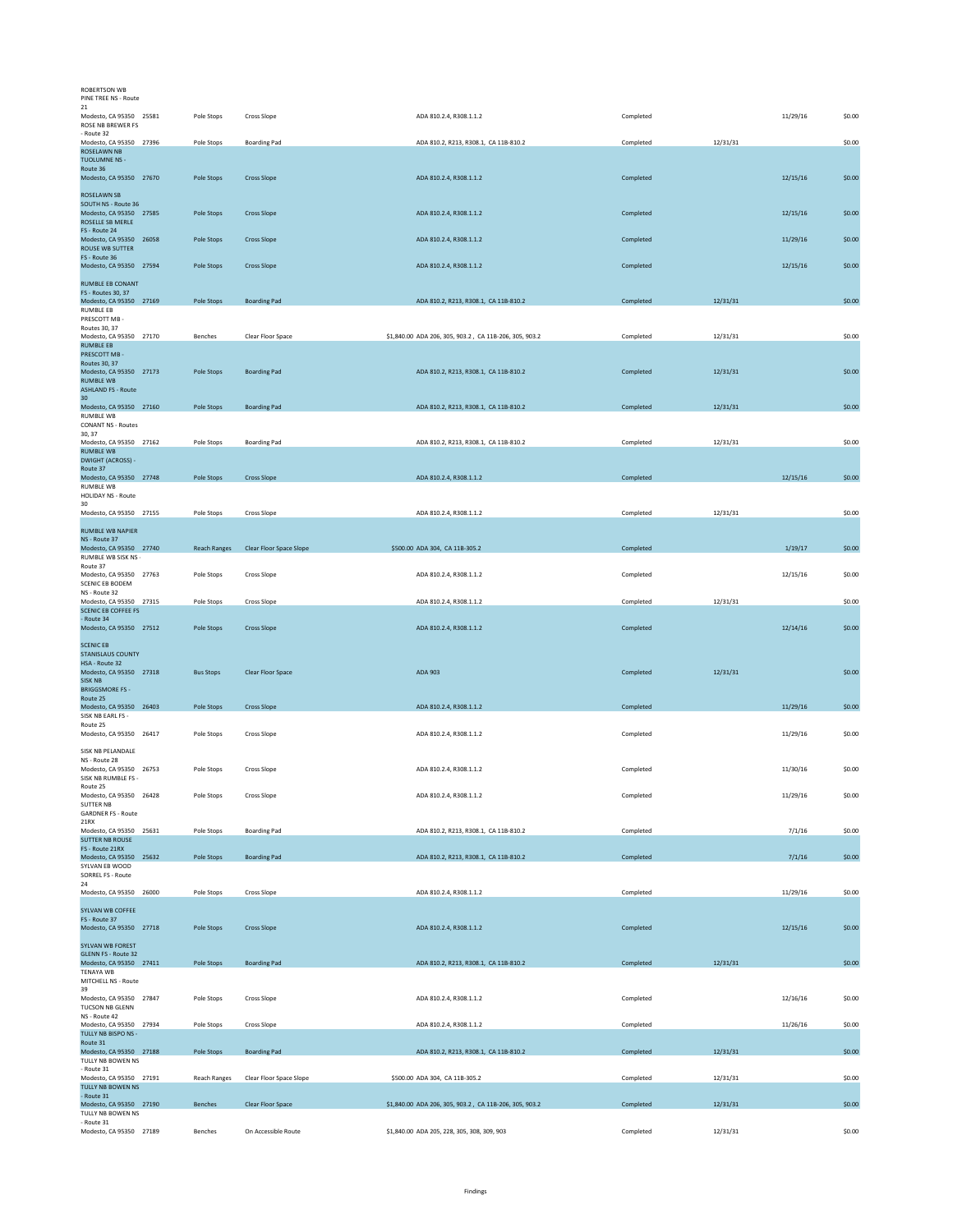| <b>ROBERTSON WB</b><br>PINE TREE NS - Route                                                                       |                     |                         |                                                        |           |          |          |        |
|-------------------------------------------------------------------------------------------------------------------|---------------------|-------------------------|--------------------------------------------------------|-----------|----------|----------|--------|
| 21<br>Modesto, CA 95350 25581<br>ROSE NB BREWER FS                                                                | Pole Stops          | Cross Slope             | ADA 810.2.4, R308.1.1.2                                | Completed |          | 11/29/16 | \$0.00 |
| - Route 32<br>Modesto, CA 95350 27396<br>ROSELAWN NB<br><b>TUOLUMNE NS -</b>                                      | Pole Stops          | <b>Boarding Pad</b>     | ADA 810.2, R213, R308.1, CA 11B-810.2                  | Completed | 12/31/31 |          | \$0.00 |
| Route 36<br>Modesto, CA 95350 27670                                                                               | Pole Stops          | <b>Cross Slope</b>      | ADA 810.2.4, R308.1.1.2                                | Completed |          | 12/15/16 | \$0.00 |
| ROSELAWN SB<br>SOUTH NS - Route 36<br>Modesto, CA 95350 27585<br>ROSELLE SB MERLE                                 | Pole Stops          | <b>Cross Slope</b>      | ADA 810.2.4, R308.1.1.2                                | Completed |          | 12/15/16 | \$0.00 |
| FS - Route 24<br>Modesto, CA 95350 26058<br>ROUSE WB SUTTER                                                       | Pole Stops          | <b>Cross Slope</b>      | ADA 810.2.4, R308.1.1.2                                | Completed |          | 11/29/16 | \$0.00 |
| FS - Route 36<br>Modesto, CA 95350 27594                                                                          | Pole Stops          | <b>Cross Slope</b>      | ADA 810.2.4, R308.1.1.2                                | Completed |          | 12/15/16 | \$0.00 |
| <b>RUMBLE EB CONANT</b><br>FS - Routes 30, 37<br>Modesto, CA 95350 27169                                          | Pole Stops          | <b>Boarding Pad</b>     | ADA 810.2, R213, R308.1, CA 11B-810.2                  | Completed | 12/31/31 |          | \$0.00 |
| RUMBLE EB<br>PRESCOTT MB -                                                                                        |                     |                         |                                                        |           |          |          |        |
| Routes 30, 37<br>Modesto, CA 95350 27170<br><b>RUMBLE EB</b>                                                      | Benches             | Clear Floor Space       | \$1,840.00 ADA 206, 305, 903.2, CA 11B-206, 305, 903.2 | Completed | 12/31/31 |          | \$0.00 |
| PRESCOTT MB -<br>Routes 30, 37<br>Modesto, CA 95350 27173<br><b>RUMBLE WB</b>                                     | Pole Stops          | <b>Boarding Pad</b>     | ADA 810.2, R213, R308.1, CA 11B-810.2                  | Completed | 12/31/31 |          | \$0.00 |
| <b>ASHLAND FS - Route</b><br>30<br>Modesto, CA 95350 27160                                                        | Pole Stops          | <b>Boarding Pad</b>     | ADA 810.2, R213, R308.1, CA 11B-810.2                  | Completed | 12/31/31 |          | \$0.00 |
| <b>RUMBLE WB</b><br><b>CONANT NS - Routes</b><br>30, 37                                                           |                     |                         |                                                        |           |          |          |        |
| Modesto, CA 95350 27162<br><b>RUMBLE WB</b>                                                                       | Pole Stops          | <b>Boarding Pad</b>     | ADA 810.2, R213, R308.1, CA 11B-810.2                  | Completed | 12/31/31 |          | \$0.00 |
| <b>DWIGHT (ACROSS) -</b><br>Route 37<br>Modesto, CA 95350 27748                                                   | Pole Stops          | <b>Cross Slope</b>      | ADA 810.2.4, R308.1.1.2                                | Completed |          | 12/15/16 | \$0.00 |
| <b>RUMBLE WB</b><br><b>HOLIDAY NS - Route</b><br>30                                                               |                     |                         |                                                        |           |          |          |        |
| Modesto, CA 95350 27155                                                                                           | Pole Stops          | Cross Slope             | ADA 810.2.4, R308.1.1.2                                | Completed | 12/31/31 |          | \$0.00 |
| <b>RUMBLE WB NAPIER</b><br>NS - Route 37<br>Modesto, CA 95350 27740                                               | <b>Reach Ranges</b> | Clear Floor Space Slope | \$500.00 ADA 304, CA 11B-305.2                         | Completed |          | 1/19/17  | \$0.00 |
| RUMBLE WB SISK NS -<br>Route 37<br>Modesto, CA 95350 27763                                                        | Pole Stops          | Cross Slope             | ADA 810.2.4, R308.1.1.2                                | Completed |          | 12/15/16 | \$0.00 |
| <b>SCENIC EB BODEM</b><br>NS - Route 32<br>Modesto, CA 95350 27315                                                | Pole Stops          | Cross Slope             | ADA 810.2.4, R308.1.1.2                                | Completed | 12/31/31 |          | \$0.00 |
| <b>SCENIC EB COFFEE FS</b><br>- Route 34                                                                          |                     |                         |                                                        |           |          |          |        |
| Modesto, CA 95350 27512<br><b>SCENIC EB</b>                                                                       | Pole Stops          | <b>Cross Slope</b>      | ADA 810.2.4, R308.1.1.2                                | Completed |          | 12/14/16 | \$0.00 |
| <b>STANISLAUS COUNTY</b><br>HSA - Route 32<br>Modesto, CA 95350 27318<br><b>SISK NB</b><br><b>BRIGGSMORE FS -</b> | <b>Bus Stops</b>    | Clear Floor Space       | ADA 903                                                | Completed | 12/31/31 |          | \$0.00 |
| Route 25<br>Modesto, CA 95350 26403<br>SISK NB EARL FS -                                                          | Pole Stops          | <b>Cross Slope</b>      | ADA 810.2.4, R308.1.1.2                                | Completed |          | 11/29/16 | \$0.00 |
| Route 25<br>Modesto, CA 95350 26417                                                                               | Pole Stops          | Cross Slope             | ADA 810.2.4, R308.1.1.2                                | Completed |          | 11/29/16 | \$0.00 |
| SISK NB PELANDALE<br>NS - Route 28<br>Modesto, CA 95350 26753<br>SISK NB RUMBLE FS -                              | Pole Stops          | Cross Slope             | ADA 810.2.4, R308.1.1.2                                | Completed |          | 11/30/16 | \$0.00 |
| Route 25<br>Modesto, CA 95350 26428                                                                               | Pole Stops          | Cross Slope             | ADA 810.2.4, R308.1.1.2                                | Completed |          | 11/29/16 | \$0.00 |
| <b>SUTTER NB</b><br><b>GARDNER FS - Route</b><br>21RX                                                             |                     |                         |                                                        |           |          |          |        |
| Modesto, CA 95350 25631<br><b>SUTTER NB ROUSE</b><br>FS - Route 21RX                                              | Pole Stops          | <b>Boarding Pad</b>     | ADA 810.2, R213, R308.1, CA 11B-810.2                  | Completed |          | 7/1/16   | \$0.00 |
| Modesto, CA 95350 25632<br>SYLVAN EB WOOD                                                                         | Pole Stops          | <b>Boarding Pad</b>     | ADA 810.2, R213, R308.1, CA 11B-810.2                  | Completed |          | 7/1/16   | \$0.00 |
| <b>SORREL FS - Route</b><br>24<br>Modesto, CA 95350 26000                                                         | Pole Stops          | Cross Slope             | ADA 810.2.4, R308.1.1.2                                | Completed |          | 11/29/16 | \$0.00 |
| <b>SYLVAN WB COFFEE</b>                                                                                           |                     |                         |                                                        |           |          |          |        |
| FS - Route 37<br>Modesto, CA 95350 27718<br><b>SYLVAN WB FOREST</b>                                               | Pole Stops          | <b>Cross Slope</b>      | ADA 810.2.4, R308.1.1.2                                | Completed |          | 12/15/16 | \$0.00 |
| <b>GLENN FS - Route 32</b><br>Modesto, CA 95350 27411<br><b>TENAYA WB</b>                                         | Pole Stops          | <b>Boarding Pad</b>     | ADA 810.2, R213, R308.1, CA 11B-810.2                  | Completed | 12/31/31 |          | \$0.00 |
| MITCHELL NS - Route<br>39                                                                                         |                     |                         |                                                        |           |          |          |        |
| Modesto, CA 95350 27847<br>TUCSON NB GLENN<br>NS - Route 42                                                       | Pole Stops          | Cross Slope             | ADA 810.2.4, R308.1.1.2                                | Completed |          | 12/16/16 | \$0.00 |
| Modesto, CA 95350 27934<br>TULLY NB BISPO NS -<br>Route 31                                                        | Pole Stops          | Cross Slope             | ADA 810.2.4, R308.1.1.2                                | Completed |          | 11/26/16 | \$0.00 |
| Modesto, CA 95350 27188<br>TULLY NB BOWEN NS                                                                      | Pole Stops          | <b>Boarding Pad</b>     | ADA 810.2, R213, R308.1, CA 11B-810.2                  | Completed | 12/31/31 |          | \$0.00 |
| - Route 31<br>Modesto, CA 95350 27191<br>TULLY NB BOWEN NS                                                        | Reach Ranges        | Clear Floor Space Slope | \$500.00 ADA 304, CA 11B-305.2                         | Completed | 12/31/31 |          | \$0.00 |
| - Route 31<br>Modesto, CA 95350 27190                                                                             | Benches             | Clear Floor Space       | \$1,840.00 ADA 206, 305, 903.2, CA 11B-206, 305, 903.2 | Completed | 12/31/31 |          | \$0.00 |
| TULLY NB BOWEN NS<br>- Route 31<br>Modesto, CA 95350 27189                                                        | Benches             | On Accessible Route     | \$1,840.00 ADA 205, 228, 305, 308, 309, 903            | Completed | 12/31/31 |          | \$0.00 |
|                                                                                                                   |                     |                         |                                                        |           |          |          |        |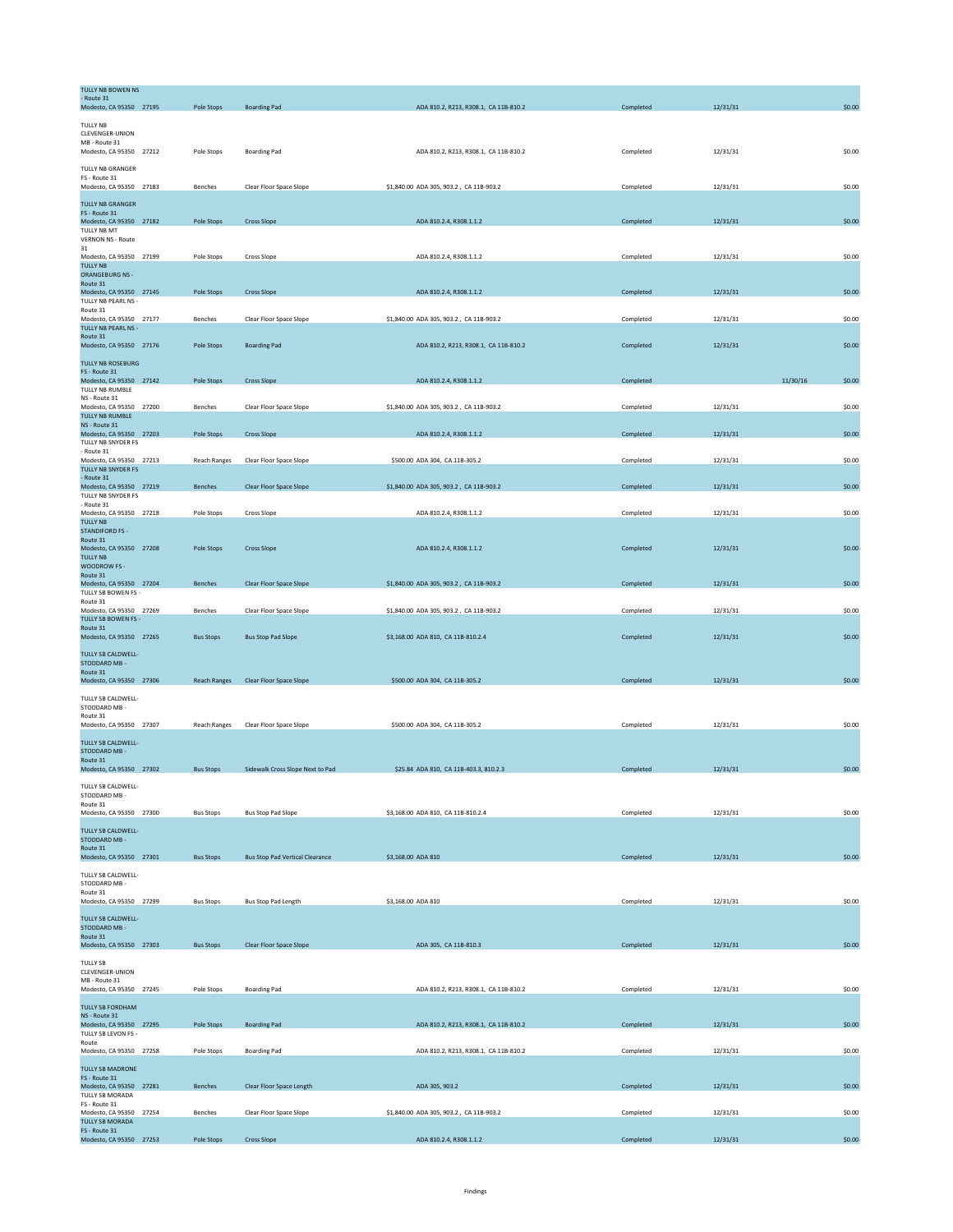| TULLY NB BOWEN NS<br>- Route 31<br>Modesto, CA 95350 27195                     | Pole Stops          | <b>Boarding Pad</b>                    | ADA 810.2, R213, R308.1, CA 11B-810.2   | Completed | 12/31/31 |          | \$0.00 |
|--------------------------------------------------------------------------------|---------------------|----------------------------------------|-----------------------------------------|-----------|----------|----------|--------|
|                                                                                |                     |                                        |                                         |           |          |          |        |
| <b>TULLY NB</b><br>CLEVENGER-UNION<br>MB - Route 31<br>Modesto, CA 95350 27212 | Pole Stops          | <b>Boarding Pad</b>                    | ADA 810.2, R213, R308.1, CA 11B-810.2   | Completed | 12/31/31 |          | \$0.00 |
| <b>TULLY NB GRANGER</b><br>FS - Route 31                                       |                     |                                        |                                         |           |          |          |        |
| Modesto, CA 95350 27183<br><b>TULLY NB GRANGER</b>                             | Benches             | Clear Floor Space Slope                | \$1,840.00 ADA 305, 903.2, CA 11B-903.2 | Completed | 12/31/31 |          | \$0.00 |
| FS - Route 31<br>Modesto, CA 95350 27182<br>TULLY NB MT                        | Pole Stops          | <b>Cross Slope</b>                     | ADA 810.2.4, R308.1.1.2                 | Completed | 12/31/31 |          | \$0.00 |
| <b>VERNON NS - Route</b><br>31<br>Modesto, CA 95350 27199                      | Pole Stops          | Cross Slope                            | ADA 810.2.4, R308.1.1.2                 | Completed | 12/31/31 |          | \$0.00 |
| <b>TULLY NB</b><br>ORANGEBURG NS -<br>Route 31                                 |                     |                                        |                                         |           |          |          |        |
| Modesto, CA 95350 27145<br>TULLY NB PEARL NS -                                 | Pole Stops          | <b>Cross Slope</b>                     | ADA 810.2.4, R308.1.1.2                 | Completed | 12/31/31 |          | \$0.00 |
| Route 31<br>Modesto, CA 95350 27177<br>TULLY NB PEARL NS -                     | Benches             | Clear Floor Space Slope                | \$1,840.00 ADA 305, 903.2, CA 11B-903.2 | Completed | 12/31/31 |          | \$0.00 |
| Route 31<br>Modesto, CA 95350 27176                                            | Pole Stops          | <b>Boarding Pad</b>                    | ADA 810.2, R213, R308.1, CA 11B-810.2   | Completed | 12/31/31 |          | \$0.00 |
| TULLY NB ROSEBURG<br>FS - Route 31                                             |                     | <b>Cross Slope</b>                     |                                         |           |          | 11/30/16 | \$0.00 |
| Modesto, CA 95350 27142<br>TULLY NB RUMBLE<br>NS - Route 31                    | Pole Stops          |                                        | ADA 810.2.4, R308.1.1.2                 | Completed |          |          |        |
| Modesto, CA 95350 27200<br><b>TULLY NB RUMBLE</b><br>NS - Route 31             | Benches             | Clear Floor Space Slope                | \$1,840.00 ADA 305, 903.2, CA 11B-903.2 | Completed | 12/31/31 |          | \$0.00 |
| Modesto, CA 95350 27203<br>TULLY NB SNYDER FS                                  | Pole Stops          | <b>Cross Slope</b>                     | ADA 810.2.4, R308.1.1.2                 | Completed | 12/31/31 |          | \$0.00 |
| - Route 31<br>Modesto, CA 95350 27213<br>TULLY NB SNYDER FS                    | <b>Reach Ranges</b> | Clear Floor Space Slope                | \$500.00 ADA 304, CA 11B-305.2          | Completed | 12/31/31 |          | \$0.00 |
| - Route 31<br>Modesto, CA 95350 27219<br>TULLY NB SNYDER FS                    | Benches             | Clear Floor Space Slope                | \$1,840.00 ADA 305, 903.2, CA 11B-903.2 | Completed | 12/31/31 |          | \$0.00 |
| - Route 31<br>Modesto, CA 95350 27218                                          | Pole Stops          | Cross Slope                            | ADA 810.2.4, R308.1.1.2                 | Completed | 12/31/31 |          | \$0.00 |
| <b>TULLY NB</b><br><b>STANDIFORD FS -</b><br>Route 31                          |                     |                                        |                                         |           |          |          |        |
| Modesto, CA 95350 27208<br><b>TULLY NB</b><br>WOODROW FS -                     | Pole Stops          | <b>Cross Slope</b>                     | ADA 810.2.4, R308.1.1.2                 | Completed | 12/31/31 |          | \$0.00 |
| Route 31<br>Modesto, CA 95350 27204                                            | <b>Benches</b>      | Clear Floor Space Slope                | \$1,840.00 ADA 305, 903.2, CA 11B-903.2 | Completed | 12/31/31 |          | \$0.00 |
| TULLY SB BOWEN FS -<br>Route 31<br>Modesto, CA 95350 27269                     | Benches             | Clear Floor Space Slope                | \$1,840.00 ADA 305, 903.2, CA 11B-903.2 | Completed | 12/31/31 |          | \$0.00 |
| TULLY SB BOWEN FS -<br>Route 31                                                |                     |                                        |                                         |           |          |          |        |
| Modesto, CA 95350 27265<br><b>TULLY SB CALDWELL-</b><br>STODDARD MB-           | <b>Bus Stops</b>    | <b>Bus Stop Pad Slope</b>              | \$3,168.00 ADA 810, CA 11B-810.2.4      | Completed | 12/31/31 |          | \$0.00 |
| Route 31<br>Modesto, CA 95350 27306                                            | <b>Reach Ranges</b> | Clear Floor Space Slope                | \$500.00 ADA 304, CA 11B-305.2          | Completed | 12/31/31 |          | \$0.00 |
| TULLY SB CALDWELL-<br>STODDARD MB -<br>Route 31<br>Modesto, CA 95350 27307     | Reach Ranges        | Clear Floor Space Slope                | \$500.00 ADA 304, CA 11B-305.2          | Completed | 12/31/31 |          | \$0.00 |
| TULLY SB CALDWELL-<br>STODDARD MB -<br>Route 31                                |                     |                                        |                                         |           |          |          |        |
| Modesto, CA 95350 27302<br>TULLY SB CALDWELL-                                  | <b>Bus Stops</b>    | Sidewalk Cross Slope Next to Pad       | \$25.84 ADA 810, CA 11B-403.3, 810.2.3  | Completed | 12/31/31 |          | \$0.00 |
| STODDARD MB -<br>Route 31<br>Modesto, CA 95350 27300                           | <b>Bus Stops</b>    | <b>Bus Stop Pad Slope</b>              | \$3,168.00 ADA 810, CA 11B-810.2.4      | Completed | 12/31/31 |          | \$0.00 |
| TULLY SB CALDWELL-<br>STODDARD MB-                                             |                     |                                        |                                         |           |          |          |        |
| Route 31<br>Modesto, CA 95350 27301                                            | <b>Bus Stops</b>    | <b>Bus Stop Pad Vertical Clearance</b> | \$3,168.00 ADA 810                      | Completed | 12/31/31 |          | \$0.00 |
| TULLY SB CALDWELL-<br>STODDARD MB -<br>Route 31<br>Modesto, CA 95350 27299     | <b>Bus Stops</b>    | <b>Bus Stop Pad Length</b>             | \$3,168.00 ADA 810                      | Completed | 12/31/31 |          | \$0.00 |
| TULLY SB CALDWELL-<br>STODDARD MB -<br>Route 31                                |                     |                                        |                                         |           |          |          |        |
| Modesto, CA 95350 27303                                                        | <b>Bus Stops</b>    | Clear Floor Space Slope                | ADA 305, CA 11B-810.3                   | Completed | 12/31/31 |          | \$0.00 |
| <b>TULLY SB</b><br>CLEVENGER-UNION<br>MB - Route 31<br>Modesto, CA 95350 27245 | Pole Stops          | <b>Boarding Pad</b>                    | ADA 810.2, R213, R308.1, CA 11B-810.2   | Completed | 12/31/31 |          | \$0.00 |
| <b>TULLY SB FORDHAM</b><br>NS - Route 31                                       |                     |                                        |                                         |           |          |          |        |
| Modesto, CA 95350 27295<br>TULLY SB LEVON FS -<br>Route                        | Pole Stops          | <b>Boarding Pad</b>                    | ADA 810.2, R213, R308.1, CA 11B-810.2   | Completed | 12/31/31 |          | \$0.00 |
| Modesto, CA 95350 27258<br>TULLY SB MADRONE                                    | Pole Stops          | <b>Boarding Pad</b>                    | ADA 810.2, R213, R308.1, CA 11B-810.2   | Completed | 12/31/31 |          | \$0.00 |
| FS - Route 31<br>Modesto, CA 95350 27281                                       | Benches             | Clear Floor Space Length               | ADA 305, 903.2                          | Completed | 12/31/31 |          | \$0.00 |
| TULLY SB MORADA<br>FS - Route 31                                               |                     |                                        |                                         |           |          |          |        |
| Modesto, CA 95350 27254<br><b>TULLY SB MORADA</b><br>FS - Route 31             | Benches             | Clear Floor Space Slope                | \$1,840.00 ADA 305, 903.2, CA 11B-903.2 | Completed | 12/31/31 |          | \$0.00 |
| Modesto, CA 95350 27253                                                        | Pole Stops          | <b>Cross Slope</b>                     | ADA 810.2.4, R308.1.1.2                 | Completed | 12/31/31 |          | \$0.00 |